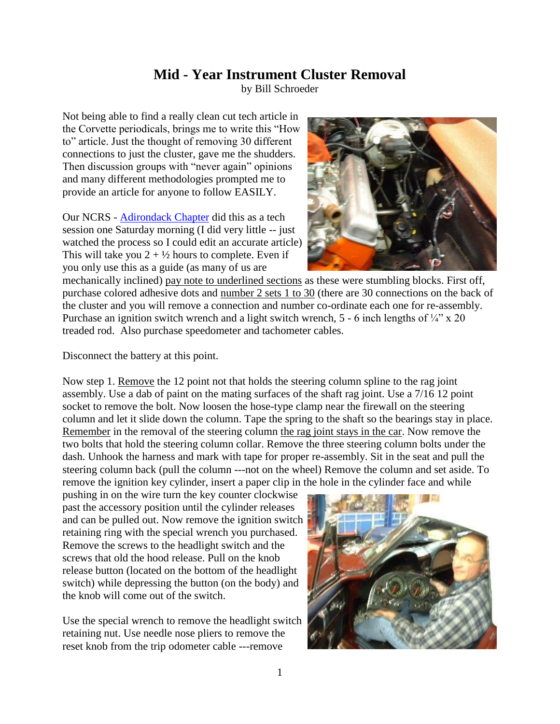## **Mid - Year Instrument Cluster Removal**

by Bill Schroeder

Not being able to find a really clean cut tech article in the Corvette periodicals, brings me to write this "How to" article. Just the thought of removing 30 different connections to just the cluster, gave me the shudders. Then discussion groups with "never again" opinions and many different methodologies prompted me to provide an article for anyone to follow EASILY.

Our NCRS - [Adirondack Chapter](http://www.adirondackncrs.com/) did this as a tech session one Saturday morning (I did very little -- just watched the process so I could edit an accurate article) This will take you  $2 + \frac{1}{2}$  hours to complete. Even if you only use this as a guide (as many of us are



mechanically inclined) pay note to underlined sections as these were stumbling blocks. First off, purchase colored adhesive dots and number 2 sets 1 to 30 (there are 30 connections on the back of the cluster and you will remove a connection and number co-ordinate each one for re-assembly. Purchase an ignition switch wrench and a light switch wrench,  $5 - 6$  inch lengths of  $\frac{1}{4}$ " x 20 treaded rod. Also purchase speedometer and tachometer cables.

Disconnect the battery at this point.

Now step 1. Remove the 12 point not that holds the steering column spline to the rag joint assembly. Use a dab of paint on the mating surfaces of the shaft rag joint. Use a 7/16 12 point socket to remove the bolt. Now loosen the hose-type clamp near the firewall on the steering column and let it slide down the column. Tape the spring to the shaft so the bearings stay in place. Remember in the removal of the steering column the rag joint stays in the car. Now remove the two bolts that hold the steering column collar. Remove the three steering column bolts under the dash. Unhook the harness and mark with tape for proper re-assembly. Sit in the seat and pull the steering column back (pull the column ---not on the wheel) Remove the column and set aside. To remove the ignition key cylinder, insert a paper clip in the hole in the cylinder face and while

pushing in on the wire turn the key counter clockwise past the accessory position until the cylinder releases and can be pulled out. Now remove the ignition switch retaining ring with the special wrench you purchased. Remove the screws to the headlight switch and the screws that old the hood release. Pull on the knob release button (located on the bottom of the headlight switch) while depressing the button (on the body) and the knob will come out of the switch.

Use the special wrench to remove the headlight switch retaining nut. Use needle nose pliers to remove the reset knob from the trip odometer cable ---remove